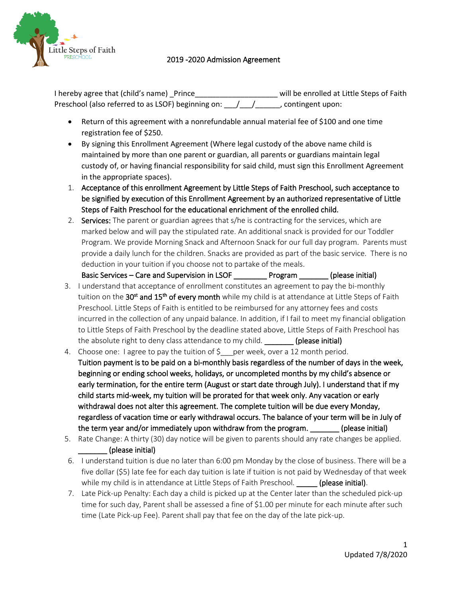

## 2019 -2020 Admission Agreement

I hereby agree that (child's name) \_Prince \_\_\_\_\_\_\_\_\_\_\_\_\_\_\_\_\_\_\_\_\_\_\_\_ will be enrolled at Little Steps of Faith Preschool (also referred to as LSOF) beginning on:  $\frac{1}{2}$  /  $\frac{1}{2}$ , contingent upon:

- Return of this agreement with a nonrefundable annual material fee of \$100 and one time registration fee of \$250.
- By signing this Enrollment Agreement (Where legal custody of the above name child is maintained by more than one parent or guardian, all parents or guardians maintain legal custody of, or having financial responsibility for said child, must sign this Enrollment Agreement in the appropriate spaces).
- 1. Acceptance of this enrollment Agreement by Little Steps of Faith Preschool, such acceptance to be signified by execution of this Enrollment Agreement by an authorized representative of Little Steps of Faith Preschool for the educational enrichment of the enrolled child.
- 2. Services: The parent or guardian agrees that s/he is contracting for the services, which are marked below and will pay the stipulated rate. An additional snack is provided for our Toddler Program. We provide Morning Snack and Afternoon Snack for our full day program. Parents must provide a daily lunch for the children. Snacks are provided as part of the basic service. There is no deduction in your tuition if you choose not to partake of the meals.

Basic Services – Care and Supervision in LSOF The Program (please initial)

- 3. I understand that acceptance of enrollment constitutes an agreement to pay the bi-monthly tuition on the 30<sup>st</sup> and 15<sup>th</sup> of every month while my child is at attendance at Little Steps of Faith Preschool. Little Steps of Faith is entitled to be reimbursed for any attorney fees and costs incurred in the collection of any unpaid balance. In addition, if I fail to meet my financial obligation to Little Steps of Faith Preschool by the deadline stated above, Little Steps of Faith Preschool has the absolute right to deny class attendance to my child. **(please initial)**
- 4. Choose one: I agree to pay the tuition of  $\zeta$  per week, over a 12 month period. Tuition payment is to be paid on a bi-monthly basis regardless of the number of days in the week, beginning or ending school weeks, holidays, or uncompleted months by my child's absence or early termination, for the entire term (August or start date through July). I understand that if my child starts mid-week, my tuition will be prorated for that week only. Any vacation or early withdrawal does not alter this agreement. The complete tuition will be due every Monday, regardless of vacation time or early withdrawal occurs. The balance of your term will be in July of the term year and/or immediately upon withdraw from the program. \_\_\_\_\_\_\_ (please initial)
- 5. Rate Change: A thirty (30) day notice will be given to parents should any rate changes be applied.

## \_\_\_\_\_\_\_ (please initial)

- 6. I understand tuition is due no later than 6:00 pm Monday by the close of business. There will be a five dollar (\$5) late fee for each day tuition is late if tuition is not paid by Wednesday of that week while my child is in attendance at Little Steps of Faith Preschool. (please initial).
- 7. Late Pick-up Penalty: Each day a child is picked up at the Center later than the scheduled pick-up time for such day, Parent shall be assessed a fine of \$1.00 per minute for each minute after such time (Late Pick-up Fee). Parent shall pay that fee on the day of the late pick-up.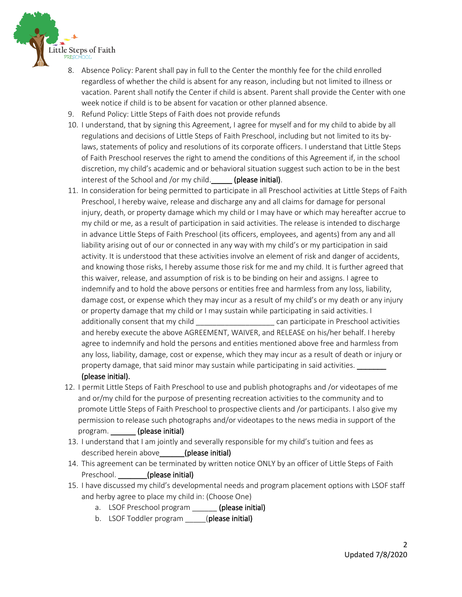

- 8. Absence Policy: Parent shall pay in full to the Center the monthly fee for the child enrolled regardless of whether the child is absent for any reason, including but not limited to illness or vacation. Parent shall notify the Center if child is absent. Parent shall provide the Center with one week notice if child is to be absent for vacation or other planned absence.
- 9. Refund Policy: Little Steps of Faith does not provide refunds
- 10. I understand, that by signing this Agreement, I agree for myself and for my child to abide by all regulations and decisions of Little Steps of Faith Preschool, including but not limited to its bylaws, statements of policy and resolutions of its corporate officers. I understand that Little Steps of Faith Preschool reserves the right to amend the conditions of this Agreement if, in the school discretion, my child's academic and or behavioral situation suggest such action to be in the best interest of the School and /or my child. (please initial).
- 11. In consideration for being permitted to participate in all Preschool activities at Little Steps of Faith Preschool, I hereby waive, release and discharge any and all claims for damage for personal injury, death, or property damage which my child or I may have or which may hereafter accrue to my child or me, as a result of participation in said activities. The release is intended to discharge in advance Little Steps of Faith Preschool (its officers, employees, and agents) from any and all liability arising out of our or connected in any way with my child's or my participation in said activity. It is understood that these activities involve an element of risk and danger of accidents, and knowing those risks, I hereby assume those risk for me and my child. It is further agreed that this waiver, release, and assumption of risk is to be binding on heir and assigns. I agree to indemnify and to hold the above persons or entities free and harmless from any loss, liability, damage cost, or expense which they may incur as a result of my child's or my death or any injury or property damage that my child or I may sustain while participating in said activities. I additionally consent that my child \_\_\_\_\_\_\_\_\_\_\_\_\_\_\_\_\_\_\_\_\_\_\_\_ can participate in Preschool activities and hereby execute the above AGREEMENT, WAIVER, and RELEASE on his/her behalf. I hereby agree to indemnify and hold the persons and entities mentioned above free and harmless from any loss, liability, damage, cost or expense, which they may incur as a result of death or injury or property damage, that said minor may sustain while participating in said activities. (please initial).
- 12. I permit Little Steps of Faith Preschool to use and publish photographs and /or videotapes of me and or/my child for the purpose of presenting recreation activities to the community and to promote Little Steps of Faith Preschool to prospective clients and /or participants. I also give my permission to release such photographs and/or videotapes to the news media in support of the program. \_\_\_\_\_\_ (please initial)
- 13. I understand that I am jointly and severally responsible for my child's tuition and fees as described herein above (please initial)
- 14. This agreement can be terminated by written notice ONLY by an officer of Little Steps of Faith Preschool. **(please initial)**
- 15. I have discussed my child's developmental needs and program placement options with LSOF staff and herby agree to place my child in: (Choose One)
	- a. LSOF Preschool program (please initial)
	- b. LSOF Toddler program \_\_\_\_\_(please initial)